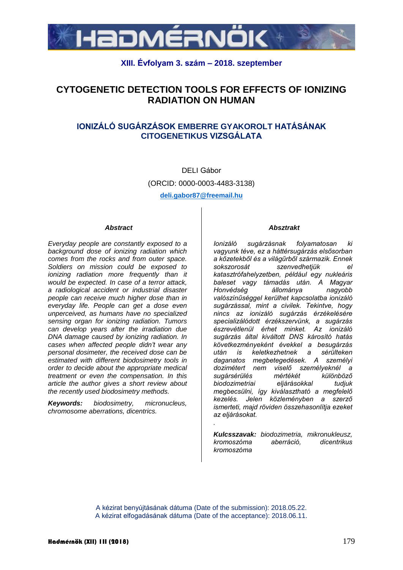

## **XIII. Évfolyam 3. szám – 2018. szeptember**

# **CYTOGENETIC DETECTION TOOLS FOR EFFECTS OF IONIZING RADIATION ON HUMAN**

## **IONIZÁLÓ SUGÁRZÁSOK EMBERRE GYAKOROLT HATÁSÁNAK CITOGENETIKUS VIZSGÁLATA**

DELI Gábor (ORCID: 0000-0003-4483-3138) **deli.gabor87@freemail.hu**

#### *Abstract*

*Everyday people are constantly exposed to a background dose of ionizing radiation which comes from the rocks and from outer space. Soldiers on mission could be exposed to ionizing radiation more frequently than it would be expected. In case of a terror attack, a radiological accident or industrial disaster people can receive much higher dose than in everyday life. People can get a dose even unperceived, as humans have no specialized sensing organ for ionizing radiation. Tumors can develop years after the irradiation due DNA damage caused by ionizing radiation. In cases when affected people didn't wear any personal dosimeter, the received dose can be estimated with different biodosimetry tools in order to decide about the appropriate medical treatment or even the compensation. In this article the author gives a short review about the recently used biodosimetry methods.*

*Keywords: biodosimetry, micronucleus, chromosome aberrations, dicentrics.*

#### *Absztrakt*

*Ionizáló sugárzásnak folyamatosan ki vagyunk téve, ez a háttérsugárzás elsősorban a kőzetekből és a világűrből származik. Ennek sokszorosát szenvedhetjük el katasztrófahelyzetben, például egy nukleáris baleset vagy támadás után. A Magyar Honvédség állománya nagyobb valószínűséggel kerülhet kapcsolatba ionizáló sugárzással, mint a civilek. Tekintve, hogy nincs az ionizáló sugárzás érzékelésére specializálódott érzékszervünk, a sugárzás észrevétlenül érhet minket. Az ionizáló sugárzás által kiváltott DNS károsító hatás következményeként évekkel a besugárzás után is keletkezhetnek a sérülteken daganatos megbetegedések. A személyi dozimétert nem viselő személyeknél a sugársérülés mértékét különböző biodozimetriai eljárásokkal tudjuk megbecsülni, így kiválasztható a megfelelő kezelés. Jelen közleményben a szerző ismerteti, majd röviden összehasonlítja ezeket az eljárásokat. .*

*Kulcsszavak: biodozimetria, mikronukleusz, kromoszóma aberráció, dicentrikus kromoszóma*

A kézirat benyújtásának dátuma (Date of the submission): 2018.05.22. A kézirat elfogadásának dátuma (Date of the acceptance): 2018.06.11.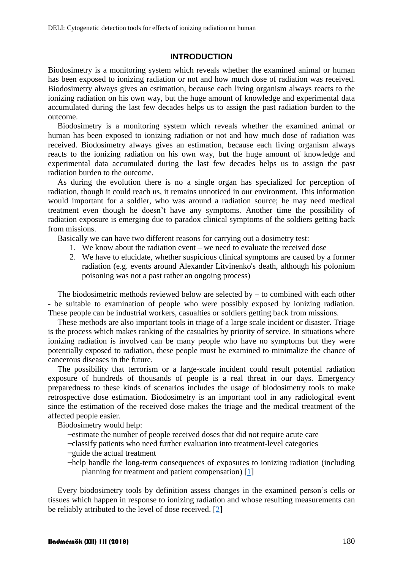### **INTRODUCTION**

Biodosimetry is a monitoring system which reveals whether the examined animal or human has been exposed to ionizing radiation or not and how much dose of radiation was received. Biodosimetry always gives an estimation, because each living organism always reacts to the ionizing radiation on his own way, but the huge amount of knowledge and experimental data accumulated during the last few decades helps us to assign the past radiation burden to the outcome.

Biodosimetry is a monitoring system which reveals whether the examined animal or human has been exposed to ionizing radiation or not and how much dose of radiation was received. Biodosimetry always gives an estimation, because each living organism always reacts to the ionizing radiation on his own way, but the huge amount of knowledge and experimental data accumulated during the last few decades helps us to assign the past radiation burden to the outcome.

As during the evolution there is no a single organ has specialized for perception of radiation, though it could reach us, it remains unnoticed in our environment. This information would important for a soldier, who was around a radiation source; he may need medical treatment even though he doesn't have any symptoms. Another time the possibility of radiation exposure is emerging due to paradox clinical symptoms of the soldiers getting back from missions.

Basically we can have two different reasons for carrying out a dosimetry test:

- 1. We know about the radiation event we need to evaluate the received dose
- 2. We have to elucidate, whether suspicious clinical symptoms are caused by a former radiation (e.g. events around Alexander Litvinenko's death, although his polonium poisoning was not a past rather an ongoing process)

The biodosimetric methods reviewed below are selected by  $-$  to combined with each other - be suitable to examination of people who were possibly exposed by ionizing radiation. These people can be industrial workers, casualties or soldiers getting back from missions.

These methods are also important tools in triage of a large scale incident or disaster. Triage is the process which makes ranking of the casualties by priority of service. In situations where ionizing radiation is involved can be many people who have no symptoms but they were potentially exposed to radiation, these people must be examined to minimalize the chance of cancerous diseases in the future.

The possibility that terrorism or a large-scale incident could result potential radiation exposure of hundreds of thousands of people is a real threat in our days. Emergency preparedness to these kinds of scenarios includes the usage of biodosimetry tools to make retrospective dose estimation. Biodosimetry is an important tool in any radiological event since the estimation of the received dose makes the triage and the medical treatment of the affected people easier.

Biodosimetry would help:

- ̶estimate the number of people received doses that did not require acute care
- ̶classify patients who need further evaluation into treatment-level categories
- ̶guide the actual treatment
- ̶help handle the long-term consequences of exposures to ionizing radiation (including planning for treatment and patient compensation) [\[1\]](#page-9-0)

Every biodosimetry tools by definition assess changes in the examined person's cells or tissues which happen in response to ionizing radiation and whose resulting measurements can be reliably attributed to the level of dose received. [\[2\]](#page-10-0)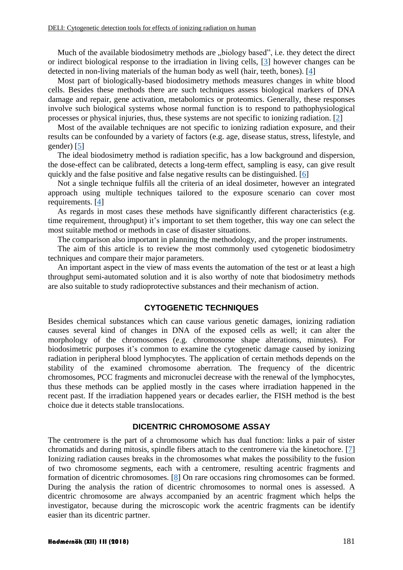Much of the available biodosimetry methods are "biology based", i.e. they detect the direct or indirect biological response to the irradiation in living cells, [\[3\]](#page-10-1) however changes can be detected in non-living materials of the human body as well (hair, teeth, bones). [\[4\]](#page-10-2)

Most part of biologically-based biodosimetry methods measures changes in white blood cells. Besides these methods there are such techniques assess biological markers of DNA damage and repair, gene activation, metabolomics or proteomics. Generally, these responses involve such biological systems whose normal function is to respond to pathophysiological processes or physical injuries, thus, these systems are not specific to ionizing radiation. [\[2\]](#page-10-0)

Most of the available techniques are not specific to ionizing radiation exposure, and their results can be confounded by a variety of factors (e.g. age, disease status, stress, lifestyle, and gender) [\[5\]](#page-10-3)

The ideal biodosimetry method is radiation specific, has a low background and dispersion, the dose-effect can be calibrated, detects a long-term effect, sampling is easy, can give result quickly and the false positive and false negative results can be distinguished. [\[6\]](#page-10-4)

Not a single technique fulfils all the criteria of an ideal dosimeter, however an integrated approach using multiple techniques tailored to the exposure scenario can cover most requirements. [\[4\]](#page-10-2)

As regards in most cases these methods have significantly different characteristics (e.g. time requirement, throughput) it's important to set them together, this way one can select the most suitable method or methods in case of disaster situations.

The comparison also important in planning the methodology, and the proper instruments.

The aim of this article is to review the most commonly used cytogenetic biodosimetry techniques and compare their major parameters.

An important aspect in the view of mass events the automation of the test or at least a high throughput semi-automated solution and it is also worthy of note that biodosimetry methods are also suitable to study radioprotective substances and their mechanism of action.

### **CYTOGENETIC TECHNIQUES**

Besides chemical substances which can cause various genetic damages, ionizing radiation causes several kind of changes in DNA of the exposed cells as well; it can alter the morphology of the chromosomes (e.g. chromosome shape alterations, minutes). For biodosimetric purposes it's common to examine the cytogenetic damage caused by ionizing radiation in peripheral blood lymphocytes. The application of certain methods depends on the stability of the examined chromosome aberration. The frequency of the dicentric chromosomes, PCC fragments and micronuclei decrease with the renewal of the lymphocytes, thus these methods can be applied mostly in the cases where irradiation happened in the recent past. If the irradiation happened years or decades earlier, the FISH method is the best choice due it detects stable translocations.

#### **DICENTRIC CHROMOSOME ASSAY**

The centromere is the part of a chromosome which has dual function: links a pair of sister chromatids and during mitosis, spindle fibers attach to the centromere via the kinetochore. [\[7\]](#page-10-5) Ionizing radiation causes breaks in the chromosomes what makes the possibility to the fusion of two chromosome segments, each with a centromere, resulting acentric fragments and formation of dicentric chromosomes. [\[8\]](#page-10-6) On rare occasions ring chromosomes can be formed. During the analysis the ration of dicentric chromosomes to normal ones is assessed. A dicentric chromosome are always accompanied by an acentric fragment which helps the investigator, because during the microscopic work the acentric fragments can be identify easier than its dicentric partner.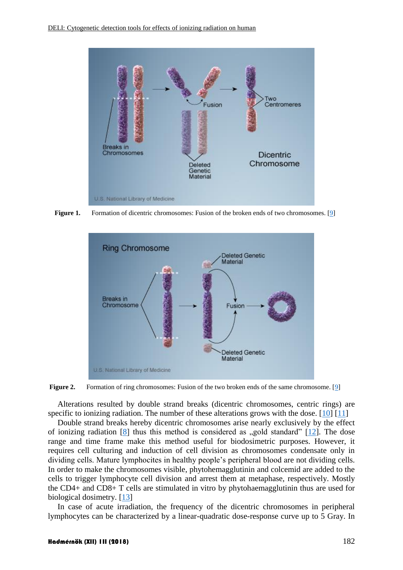

**Figure 1.** Formation of dicentric chromosomes: Fusion of the broken ends of two chromosomes. [\[9\]](#page-10-7)



**Figure 2.** Formation of ring chromosomes: Fusion of the two broken ends of the same chromosome. [\[9\]](#page-10-7)

Alterations resulted by double strand breaks (dicentric chromosomes, centric rings) are specific to ionizing radiation. The number of these alterations grows with the dose.  $[10] [11]$  $[10] [11]$  $[10] [11]$ 

Double strand breaks hereby dicentric chromosomes arise nearly exclusively by the effect of ionizing radiation  $[8]$  thus this method is considered as "gold standard"  $[12]$ . The dose range and time frame make this method useful for biodosimetric purposes. However, it requires cell culturing and induction of cell division as chromosomes condensate only in dividing cells. Mature lymphocites in healthy people's peripheral blood are not dividing cells. In order to make the chromosomes visible, phytohemagglutinin and colcemid are added to the cells to trigger lymphocyte cell division and arrest them at metaphase, respectively. Mostly the CD4+ and CD8+ T cells are stimulated in vitro by phytohaemagglutinin thus are used for biological dosimetry. [\[13\]](#page-10-11)

In case of acute irradiation, the frequency of the dicentric chromosomes in peripheral lymphocytes can be characterized by a linear-quadratic dose-response curve up to 5 Gray. In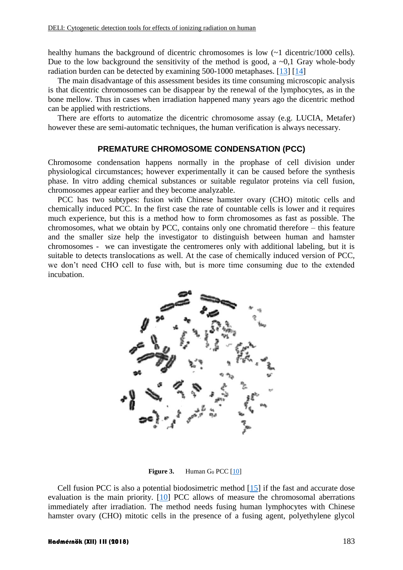healthy humans the background of dicentric chromosomes is low  $(-1 \text{ dicentric}/1000 \text{ cells})$ . Due to the low background the sensitivity of the method is good, a  $\sim 0.1$  Gray whole-body radiation burden can be detected by examining 500-1000 metaphases. [\[13\]](#page-10-11) [\[14\]](#page-10-12)

The main disadvantage of this assessment besides its time consuming microscopic analysis is that dicentric chromosomes can be disappear by the renewal of the lymphocytes, as in the bone mellow. Thus in cases when irradiation happened many years ago the dicentric method can be applied with restrictions.

There are efforts to automatize the dicentric chromosome assay (e.g. LUCIA, Metafer) however these are semi-automatic techniques, the human verification is always necessary.

#### **PREMATURE CHROMOSOME CONDENSATION (PCC)**

Chromosome condensation happens normally in the prophase of cell division under physiological circumstances; however experimentally it can be caused before the synthesis phase. In vitro adding chemical substances or suitable regulator proteins via cell fusion, chromosomes appear earlier and they become analyzable.

PCC has two subtypes: fusion with Chinese hamster ovary (CHO) mitotic cells and chemically induced PCC. In the first case the rate of countable cells is lower and it requires much experience, but this is a method how to form chromosomes as fast as possible. The chromosomes, what we obtain by PCC, contains only one chromatid therefore – this feature and the smaller size help the investigator to distinguish between human and hamster chromosomes - we can investigate the centromeres only with additional labeling, but it is suitable to detects translocations as well. At the case of chemically induced version of PCC, we don't need CHO cell to fuse with, but is more time consuming due to the extended incubation.



**Figure 3.** Human  $G_0$  PCC  $[10]$ 

Cell fusion PCC is also a potential biodosimetric method [\[15\]](#page-11-0) if the fast and accurate dose evaluation is the main priority. [\[10\]](#page-10-8) PCC allows of measure the chromosomal aberrations immediately after irradiation. The method needs fusing human lymphocytes with Chinese hamster ovary (CHO) mitotic cells in the presence of a fusing agent, polyethylene glycol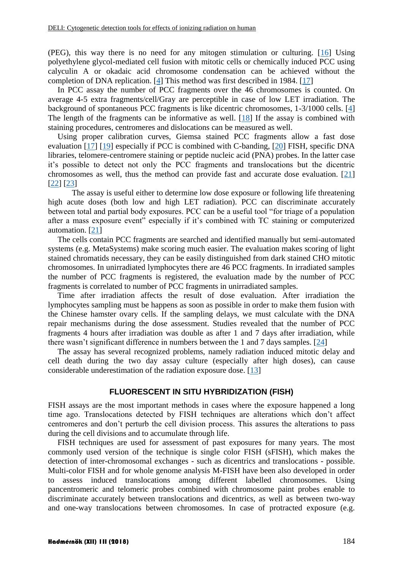(PEG), this way there is no need for any mitogen stimulation or culturing. [\[16\]](#page-11-1) Using polyethylene glycol-mediated cell fusion with mitotic cells or chemically induced PCC using calyculin A or okadaic acid chromosome condensation can be achieved without the completion of DNA replication. [\[4\]](#page-10-2) This method was first described in 1984. [\[17\]](#page-11-2)

In PCC assay the number of PCC fragments over the 46 chromosomes is counted. On average 4-5 extra fragments/cell/Gray are perceptible in case of low LET irradiation. The background of spontaneous PCC fragments is like dicentric chromosomes, 1-3/1000 cells. [\[4\]](#page-10-2) The length of the fragments can be informative as well. [\[18\]](#page-11-3) If the assay is combined with staining procedures, centromeres and dislocations can be measured as well.

Using proper calibration curves, Giemsa stained PCC fragments allow a fast dose evaluation [\[17\]](#page-11-2) [\[19\]](#page-11-4) especially if PCC is combined with C-banding, [\[20\]](#page-11-5) FISH, specific DNA libraries, telomere-centromere staining or peptide nucleic acid (PNA) probes. In the latter case it's possible to detect not only the PCC fragments and translocations but the dicentric chromosomes as well, thus the method can provide fast and accurate dose evaluation. [\[21\]](#page-11-6) [\[22\]](#page-11-7) [\[23\]](#page-11-8)

The assay is useful either to determine low dose exposure or following life threatening high acute doses (both low and high LET radiation). PCC can discriminate accurately between total and partial body exposures. PCC can be a useful tool "for triage of a population after a mass exposure event" especially if it's combined with TC staining or computerized automation. [\[21\]](#page-11-6)

The cells contain PCC fragments are searched and identified manually but semi-automated systems (e.g. MetaSystems) make scoring much easier. The evaluation makes scoring of light stained chromatids necessary, they can be easily distinguished from dark stained CHO mitotic chromosomes. In unirradiated lymphocytes there are 46 PCC fragments. In irradiated samples the number of PCC fragments is registered, the evaluation made by the number of PCC fragments is correlated to number of PCC fragments in unirradiated samples.

Time after irradiation affects the result of dose evaluation. After irradiation the lymphocytes sampling must be happens as soon as possible in order to make them fusion with the Chinese hamster ovary cells. If the sampling delays, we must calculate with the DNA repair mechanisms during the dose assessment. Studies revealed that the number of PCC fragments 4 hours after irradiation was double as after 1 and 7 days after irradiation, while there wasn't significant difference in numbers between the 1 and 7 days samples. [\[24\]](#page-12-0)

The assay has several recognized problems, namely radiation induced mitotic delay and cell death during the two day assay culture (especially after high doses), can cause considerable underestimation of the radiation exposure dose. [\[13\]](#page-10-11)

#### **FLUORESCENT IN SITU HYBRIDIZATION (FISH)**

FISH assays are the most important methods in cases where the exposure happened a long time ago. Translocations detected by FISH techniques are alterations which don't affect centromeres and don't perturb the cell division process. This assures the alterations to pass during the cell divisions and to accumulate through life.

FISH techniques are used for assessment of past exposures for many years. The most commonly used version of the technique is single color FISH (sFISH), which makes the detection of inter-chromosomal exchanges - such as dicentrics and translocations - possible. Multi-color FISH and for whole genome analysis M-FISH have been also developed in order to assess induced translocations among different labelled chromosomes. Using pancentromeric and telomeric probes combined with chromosome paint probes enable to discriminate accurately between translocations and dicentrics, as well as between two-way and one-way translocations between chromosomes. In case of protracted exposure (e.g.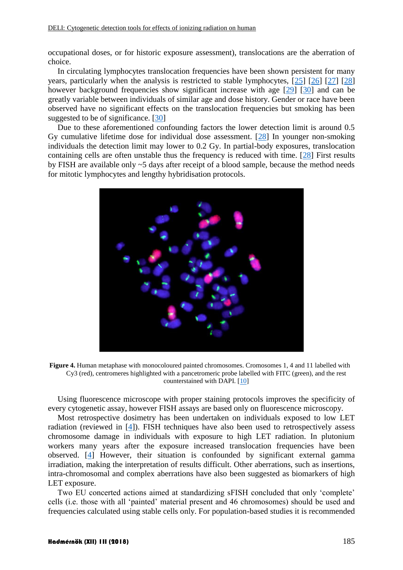occupational doses, or for historic exposure assessment), translocations are the aberration of choice.

In circulating lymphocytes translocation frequencies have been shown persistent for many years, particularly when the analysis is restricted to stable lymphocytes, [\[25\]](#page-12-1) [\[26\]](#page-12-2) [\[27\]](#page-12-3) [\[28\]](#page-12-4) however background frequencies show significant increase with age [\[29\]](#page-12-5) [\[30\]](#page-12-6) and can be greatly variable between individuals of similar age and dose history. Gender or race have been observed have no significant effects on the translocation frequencies but smoking has been suggested to be of significance. [\[30\]](#page-12-6)

Due to these aforementioned confounding factors the lower detection limit is around 0.5 Gy cumulative lifetime dose for individual dose assessment. [\[28\]](#page-12-4) In younger non-smoking individuals the detection limit may lower to 0.2 Gy. In partial-body exposures, translocation containing cells are often unstable thus the frequency is reduced with time. [\[28\]](#page-12-4) First results by FISH are available only ~5 days after receipt of a blood sample, because the method needs for mitotic lymphocytes and lengthy hybridisation protocols.



**Figure 4.** Human metaphase with monocoloured painted chromosomes. Cromosomes 1, 4 and 11 labelled with Cy3 (red), centromeres highlighted with a pancetromeric probe labelled with FITC (green), and the rest counterstained with DAPI. [\[10\]](#page-10-8)

Using fluorescence microscope with proper staining protocols improves the specificity of every cytogenetic assay, however FISH assays are based only on fluorescence microscopy.

Most retrospective dosimetry has been undertaken on individuals exposed to low LET radiation (reviewed in [\[4\]](#page-10-2)). FISH techniques have also been used to retrospectively assess chromosome damage in individuals with exposure to high LET radiation. In plutonium workers many years after the exposure increased translocation frequencies have been observed. [\[4\]](#page-10-2) However, their situation is confounded by significant external gamma irradiation, making the interpretation of results difficult. Other aberrations, such as insertions, intra-chromosomal and complex aberrations have also been suggested as biomarkers of high LET exposure.

Two EU concerted actions aimed at standardizing sFISH concluded that only 'complete' cells (i.e. those with all 'painted' material present and 46 chromosomes) should be used and frequencies calculated using stable cells only. For population-based studies it is recommended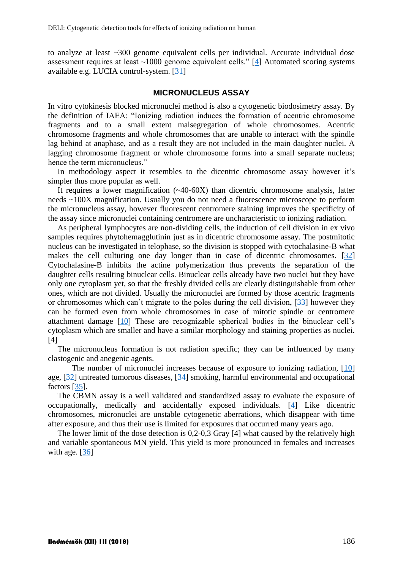to analyze at least ~300 genome equivalent cells per individual. Accurate individual dose assessment requires at least  $\sim$ 1000 genome equivalent cells." [\[4\]](#page-10-2) Automated scoring systems available e.g. LUCIA control-system. [\[31\]](#page-12-7)

#### **MICRONUCLEUS ASSAY**

In vitro cytokinesis blocked micronuclei method is also a cytogenetic biodosimetry assay. By the definition of IAEA: "Ionizing radiation induces the formation of acentric chromosome fragments and to a small extent malsegregation of whole chromosomes. Acentric chromosome fragments and whole chromosomes that are unable to interact with the spindle lag behind at anaphase, and as a result they are not included in the main daughter nuclei. A lagging chromosome fragment or whole chromosome forms into a small separate nucleus; hence the term micronucleus."

In methodology aspect it resembles to the dicentric chromosome assay however it's simpler thus more popular as well.

It requires a lower magnification  $(\sim40\textrm{-}60\text{X})$  than dicentric chromosome analysis, latter needs ~100X magnification. Usually you do not need a fluorescence microscope to perform the micronucleus assay, however fluorescent centromere staining improves the specificity of the assay since micronuclei containing centromere are uncharacteristic to ionizing radiation.

As peripheral lymphocytes are non-dividing cells, the induction of cell division in ex vivo samples requires phytohemagglutinin just as in dicentric chromosome assay. The postmitotic nucleus can be investigated in telophase, so the division is stopped with cytochalasine-B what makes the cell culturing one day longer than in case of dicentric chromosomes. [\[32\]](#page-12-8) Cytochalasine-B inhibits the actine polymerization thus prevents the separation of the daughter cells resulting binuclear cells. Binuclear cells already have two nuclei but they have only one cytoplasm yet, so that the freshly divided cells are clearly distinguishable from other ones, which are not divided. Usually the micronuclei are formed by those acentric fragments or chromosomes which can't migrate to the poles during the cell division, [\[33\]](#page-12-9) however they can be formed even from whole chromosomes in case of mitotic spindle or centromere attachment damage [\[10\]](#page-10-8) These are recognizable spherical bodies in the binuclear cell's cytoplasm which are smaller and have a similar morphology and staining properties as nuclei. [\[4\]](#page-10-2)

The micronucleus formation is not radiation specific; they can be influenced by many clastogenic and anegenic agents.

The number of micronuclei increases because of exposure to ionizing radiation, [\[10\]](#page-10-8) age, [\[32\]](#page-12-8) untreated tumorous diseases, [\[34\]](#page-12-10) smoking, harmful environmental and occupational factors [\[35\]](#page-13-0).

The CBMN assay is a well validated and standardized assay to evaluate the exposure of occupationally, medically and accidentally exposed individuals. [\[4\]](#page-10-2) Like dicentric chromosomes, micronuclei are unstable cytogenetic aberrations, which disappear with time after exposure, and thus their use is limited for exposures that occurred many years ago.

The lower limit of the dose detection is  $0.2$ -0.3 Gray [\[4\]](#page-10-2) what caused by the relatively high and variable spontaneous MN yield. This yield is more pronounced in females and increases with age.  $[36]$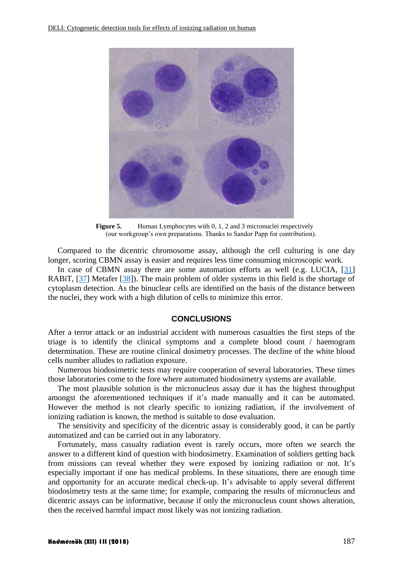

**Figure 5.** Human Lymphocytes with 0, 1, 2 and 3 micronuclei respectively (our workgroup's own preparations. Thanks to Sandor Papp for contribution).

Compared to the dicentric chromosome assay, although the cell culturing is one day longer, scoring CBMN assay is easier and requires less time consuming microscopic work.

In case of CBMN assay there are some automation efforts as well (e.g. LUCIA, [\[31\]](#page-12-7) RABiT, [\[37\]](#page-13-2) Metafer [\[38\]](#page-13-3)). The main problem of older systems in this field is the shortage of cytoplasm detection. As the binuclear cells are identified on the basis of the distance between the nuclei, they work with a high dilution of cells to minimize this error.

### **CONCLUSIONS**

After a terror attack or an industrial accident with numerous casualties the first steps of the triage is to identify the clinical symptoms and a complete blood count / haemogram determination. These are routine clinical dosimetry processes. The decline of the white blood cells number alludes to radiation exposure.

Numerous biodosimetric tests may require cooperation of several laboratories. These times those laboratories come to the fore where automated biodosimetry systems are available.

The most plausible solution is the micronucleus assay due it has the highest throughput amongst the aforementioned techniques if it's made manually and it can be automated. However the method is not clearly specific to ionizing radiation, if the involvement of ionizing radiation is known, the method is suitable to dose evaluation.

The sensitivity and specificity of the dicentric assay is considerably good, it can be partly automatized and can be carried out in any laboratory.

Fortunately, mass casualty radiation event is rarely occurs, more often we search the answer to a different kind of question with biodosimetry. Examination of soldiers getting back from missions can reveal whether they were exposed by ionizing radiation or not. It's especially important if one has medical problems. In these situations, there are enough time and opportunity for an accurate medical check-up. It's advisable to apply several different biodosimetry tests at the same time; for example, comparing the results of micronucleus and dicentric assays can be informative, because if only the micronucleus count shows alteration, then the received harmful impact most likely was not ionizing radiation.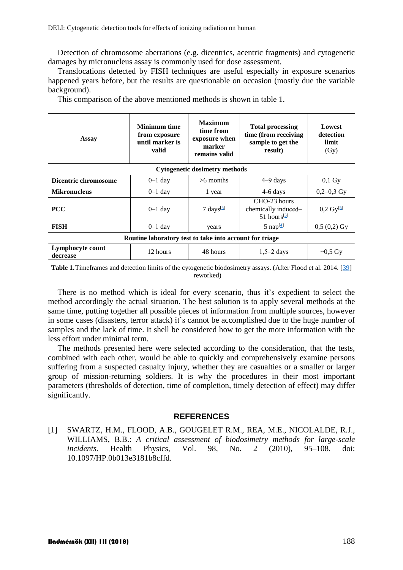Detection of chromosome aberrations (e.g. dicentrics, acentric fragments) and cytogenetic damages by micronucleus assay is commonly used for dose assessment.

Translocations detected by FISH techniques are useful especially in exposure scenarios happened years before, but the results are questionable on occasion (mostly due the variable background).

This comparison of the above mentioned methods is shown in table 1.

| Assay                                                   | <b>Minimum time</b><br>from exposure<br>until marker is<br>valid | <b>Maximum</b><br>time from<br>exposure when<br>marker<br>remains valid | <b>Total processing</b><br>time (from receiving<br>sample to get the<br>result) | Lowest<br>detection<br>limit<br>(Gy) |
|---------------------------------------------------------|------------------------------------------------------------------|-------------------------------------------------------------------------|---------------------------------------------------------------------------------|--------------------------------------|
| <b>Cytogenetic dosimetry methods</b>                    |                                                                  |                                                                         |                                                                                 |                                      |
| Dicentric chromosome                                    | $0-1$ day                                                        | $>6$ months                                                             | $4-9$ days                                                                      | $0,1$ Gy                             |
| <b>Mikronucleus</b>                                     | $0-1$ day                                                        | 1 year                                                                  | $4-6$ days                                                                      | $0,2-0,3$ Gy                         |
| <b>PCC</b>                                              | $0-1$ day                                                        | 7 days <sup>[5]</sup>                                                   | CHO-23 hours<br>chemically induced-<br>$51$ hours <sup>[5]</sup>                | $0,2 \text{ Gy}^{5}$                 |
| <b>FISH</b>                                             | $0-1$ day                                                        | years                                                                   | 5 nap $[4]$                                                                     | $0,5(0,2)$ Gy                        |
| Routine laboratory test to take into account for triage |                                                                  |                                                                         |                                                                                 |                                      |
| Lymphocyte count<br>decrease                            | 12 hours                                                         | 48 hours                                                                | $1,5-2$ days                                                                    | $\sim 0.5 \,\mathrm{Gy}$             |

**Table 1.**Timeframes and detection limits of the cytogenetic biodosimetry assays. (After Flood et al. 2014. [\[39\]](#page-13-4) reworked)

There is no method which is ideal for every scenario, thus it's expedient to select the method accordingly the actual situation. The best solution is to apply several methods at the same time, putting together all possible pieces of information from multiple sources, however in some cases (disasters, terror attack) it's cannot be accomplished due to the huge number of samples and the lack of time. It shell be considered how to get the more information with the less effort under minimal term.

The methods presented here were selected according to the consideration, that the tests, combined with each other, would be able to quickly and comprehensively examine persons suffering from a suspected casualty injury, whether they are casualties or a smaller or larger group of mission-returning soldiers. It is why the procedures in their most important parameters (thresholds of detection, time of completion, timely detection of effect) may differ significantly.

#### **REFERENCES**

<span id="page-9-0"></span>[1] SWARTZ, H.M., FLOOD, A.B., GOUGELET R.M., REA, M.E., NICOLALDE, R.J., WILLIAMS, B.B.: *A critical assessment of biodosimetry methods for large-scale incidents.* Health Physics, Vol. 98, No. 2 (2010), 95–108. doi: 10.1097/HP.0b013e3181b8cffd.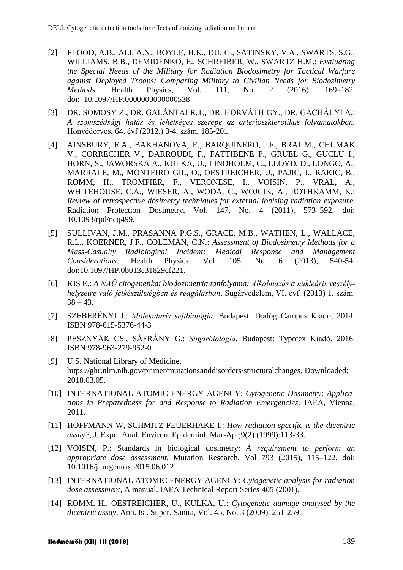- <span id="page-10-0"></span>[2] FLOOD, A.B., ALI, A.N., BOYLE, H.K., DU, G., SATINSKY, V.A., SWARTS, S.G., WILLIAMS, B.B., DEMIDENKO, E., SCHREIBER, W., SWARTZ H.M.: *Evaluating the Special Needs of the Military for Radiation Biodosimetry for Tactical Warfare against Deployed Troops: Comparing Military to Civilian Needs for Biodosimetry Methods*. Health Physics, Vol. 111, No. 2 (2016), 169–182. doi: 10.1097/HP.0000000000000538
- <span id="page-10-1"></span>[3] DR. SOMOSY Z., DR. GALÁNTAI R.T., DR. HORVÁTH GY., DR. GACHÁLYI A.: *A szomszédsági hatás és lehetséges szerepe az arterioszklerotikus folyamatokban.* Honvédorvos, 64. évf (2012.) 3-4. szám, 185-201.
- <span id="page-10-2"></span>[4] AINSBURY, E.A., BAKHANOVA, E., BARQUINERO, J.F., BRAI M., CHUMAK V., CORRECHER V., DARROUDI, F., FATTIBENE P., GRUEL G., GUCLU I., HORN, S., JAWORSKA A., KULKA, U., LINDHOLM, C., LLOYD, D., LONGO, A., MARRALE, M., MONTEIRO GIL, O., OESTREICHER, U., PAJIC, J., RAKIC, B., ROMM, H., TROMPIER, F., VERONESE, I., VOISIN, P., VRAL, A., WHITEHOUSE, C.A., WIESER, A., WODA, C., WOJCIK, A., ROTHKAMM, K.: *Review of retrospective dosimetry techniques for external ionising radiation exposure.* Radiation Protection Dosimetry, Vol. 147, No. 4 (2011), 573–592. doi: 10.1093/rpd/ncq499.
- <span id="page-10-3"></span>[5] SULLIVAN, J.M., PRASANNA P.G.S., GRACE, M.B., WATHEN, L., WALLACE, R.L., KOERNER, J.F., COLEMAN, C.N.: *Assessment of Biodosimetry Methods for a Mass-Casualty Radiological Incident: Medical Response and Management Considerations,* Health Physics, Vol. 105, No. 6 (2013), 540-54. doi:10.1097/HP.0b013e31829cf221.
- <span id="page-10-4"></span>[6] KIS E.: *A NAÜ citogenetikai biodozimetria tanfolyama: Alkalmazás a nukleáris veszélyhelyzetre való felkészültségben és reagálásban*. Sugárvédelem, VI. évf. (2013) 1. szám.  $38 - 43.$
- <span id="page-10-5"></span>[7] SZEBERÉNYI J.: *Molekuláris sejtbiológia*. Budapest: Dialóg Campus Kiadó, 2014. ISBN 978-615-5376-44-3
- <span id="page-10-6"></span>[8] PESZNYÁK CS., SÁFRÁNY G.: *Sugárbiológia,* Budapest: Typotex Kiadó, 2016. ISBN 978-963-279-952-0
- <span id="page-10-7"></span>[9] U.S. National Library of Medicine, [https://ghr.nlm.nih.gov/primer/mutationsanddisorders/structuralchanges,](https://ghr.nlm.nih.gov/primer/mutationsanddisorders/structuralchanges) Downloaded: 2018.03.05.
- <span id="page-10-8"></span>[10] INTERNATIONAL ATOMIC ENERGY AGENCY: *Cytogenetic Dosimetry: Applications in Preparedness for and Response to Radiation Emergencies*, IAEA, Vienna, 2011.
- <span id="page-10-9"></span>[11] HOFFMANN W, SCHMITZ-FEUERHAKE I.: *How radiation-specific is the dicentric assay?*, J. Expo. Anal. Environ. Epidemiol. Mar-Apr;9(2) (1999):113-33.
- <span id="page-10-10"></span>[12] VOISIN, P.: Standards in biological dosimetry: *A requirement to perform an appropriate dose assessment*, Mutation Research, Vol 793 (2015), 115–122. doi: 10.1016/j.mrgentox.2015.06.012
- <span id="page-10-11"></span>[13] INTERNATIONAL ATOMIC ENERGY AGENCY: *Cytogenetic analysis for radiation dose assessment,* A manual. IAEA Technical Report Series 405 (2001).
- <span id="page-10-12"></span>[14] ROMM, H., OESTREICHER, U., KULKA, U.: *Cytogenetic damage analysed by the dicentric assay,* Ann. Ist. Super. Sanita, Vol. 45, No. 3 (2009), 251-259.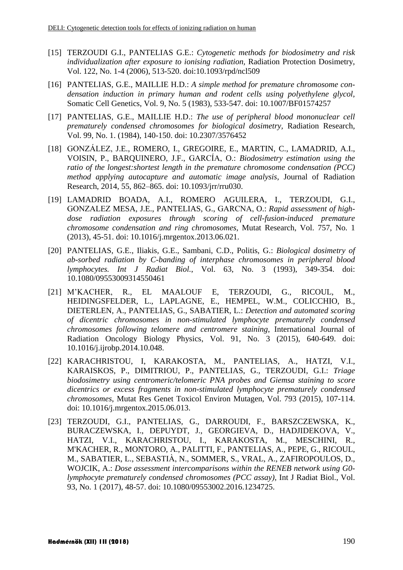- <span id="page-11-0"></span>[15] TERZOUDI G.I., PANTELIAS G.E.: *Cytogenetic methods for biodosimetry and risk individualization after exposure to ionising radiation,* Radiation Protection Dosimetry, Vol. 122, No. 1-4 (2006), 513-520. doi:10.1093/rpd/ncl509
- <span id="page-11-1"></span>[16] PANTELIAS, G.E., MAILLIE H.D.: *A simple method for premature chromosome condensation induction in primary human and rodent cells using polyethylene glycol,* Somatic Cell Genetics, Vol. 9, No. 5 (1983), 533-547. doi: 10.1007/BF01574257
- <span id="page-11-2"></span>[17] PANTELIAS, G.E., MAILLIE H.D.: *The use of peripheral blood mononuclear cell prematurely condensed chromosomes for biological dosimetry,* Radiation Research, Vol. 99, No. 1. (1984), 140-150. doi: 10.2307/3576452
- <span id="page-11-3"></span>[18] GONZÁLEZ, J.E., ROMERO, I., GREGOIRE, E., MARTIN, C., LAMADRID, A.I., VOISIN, P., BARQUINERO, J.F., GARCÍA, O.: *Biodosimetry estimation using the ratio of the longest:shortest length in the premature chromosome condensation (PCC) method applying autocapture and automatic image analysis*, Journal of Radiation Research, 2014, 55, 862–865. doi: 10.1093/jrr/rru030.
- <span id="page-11-4"></span>[19] LAMADRID BOADA, A.I., ROMERO AGUILERA, I., TERZOUDI, G.I., GONZΑLEZ MESA, J.E., PANTELIAS, G., GARCΝA, O.: *Rapid assessment of highdose radiation exposures through scoring of cell-fusion-induced premature chromosome condensation and ring chromosomes*, Mutat Research, Vol. 757, No. 1 (2013), 45-51. doi: 10.1016/j.mrgentox.2013.06.021.
- <span id="page-11-5"></span>[20] PANTELIAS, G.E., Iliakis, G.E., Sambani, C.D., Politis, G.: *Biological dosimetry of ab-sorbed radiation by C-banding of interphase chromosomes in peripheral blood lymphocytes. Int J Radiat Biol.*, Vol. 63, No. 3 (1993), 349-354. doi: 10.1080/09553009314550461
- <span id="page-11-6"></span>[21] M'KACHER, R., EL MAALOUF E, TERZOUDI, G., RICOUL, M., HEIDINGSFELDER, L., LAPLAGNE, E., HEMPEL, W.M., COLICCHIO, B., DIETERLEN, A., PANTELIAS, G., SABATIER, L.: *Detection and automated scoring of dicentric chromosomes in non-stimulated lymphocyte prematurely condensed chromosomes following telomere and centromere staining*, International Journal of Radiation Oncology Biology Physics, Vol. 91, No. 3 (2015), 640-649. doi: 10.1016/j.ijrobp.2014.10.048.
- <span id="page-11-7"></span>[22] KARACHRISTOU, I, KARAKOSTA, M., PANTELIAS, A., HATZI, V.I., KARAISKOS, P., DIMITRIOU, P., PANTELIAS, G., TERZOUDI, G.I.: *Triage biodosimetry using centromeric/telomeric PNA probes and Giemsa staining to score dicentrics or excess fragments in non-stimulated lymphocyte prematurely condensed chromosomes*, Mutat Res Genet Toxicol Environ Mutagen, Vol. 793 (2015), 107-114. doi: 10.1016/j.mrgentox.2015.06.013.
- <span id="page-11-8"></span>[23] TERZOUDI, G.I., PANTELIAS, G., DARROUDI, F., BARSZCZEWSKA, K., BURACZEWSKA, I., DEPUYDT, J., GEORGIEVA, D., HADJIDEKOVA, V., HATZI, V.I., KARACHRISTOU, I., KARAKOSTA, M., MESCHINI, R., M'KACHER, R., MONTORO, A., PALITTI, F., PANTELIAS, A., PEPE, G., RICOUL, M., SABATIER, L., SEBASTIÀ, N., SOMMER, S., VRAL, A., ZAFIROPOULOS, D., WOJCIK, A.: *Dose assessment intercomparisons within the RENEB network using G0 lymphocyte prematurely condensed chromosomes (PCC assay),* Int J Radiat Biol., Vol. 93, No. 1 (2017), 48-57. doi: 10.1080/09553002.2016.1234725.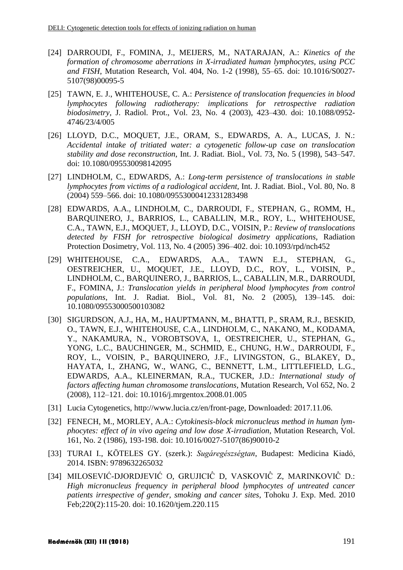- <span id="page-12-0"></span>[24] DARROUDI, F., FOMINA, J., MEIJERS, M., NATARAJAN, A.: *Kinetics of the formation of chromosome aberrations in X-irradiated human lymphocytes, using PCC and FISH*, Mutation Research, Vol. 404, No. 1-2 (1998), 55–65. doi: 10.1016/S0027- 5107(98)00095-5
- <span id="page-12-1"></span>[25] TAWN, E. J., WHITEHOUSE, C. A.: *Persistence of translocation frequencies in blood lymphocytes following radiotherapy: implications for retrospective radiation biodosimetry,* J. Radiol. Prot., Vol. 23, No. 4 (2003), 423–430. doi: 10.1088/0952- 4746/23/4/005
- <span id="page-12-2"></span>[26] LLOYD, D.C., MOQUET, J.E., ORAM, S., EDWARDS, A. A., LUCAS, J. N.: *Accidental intake of tritiated water: a cytogenetic follow-up case on translocation stability and dose reconstruction*, Int. J. Radiat. Biol., Vol. 73, No. 5 (1998), 543–547. doi: 10.1080/095530098142095
- <span id="page-12-3"></span>[27] LINDHOLM, C., EDWARDS, A.: *Long-term persistence of translocations in stable lymphocytes from victims of a radiological accident,* Int. J. Radiat. Biol., Vol. 80, No. 8 (2004) 559–566. doi: 10.1080/09553000412331283498
- <span id="page-12-4"></span>[28] EDWARDS, A.A., LINDHOLM, C., DARROUDI, F., STEPHAN, G., ROMM, H., BARQUINERO, J., BARRIOS, L., CABALLIN, M.R., ROY, L., WHITEHOUSE, C.A., TAWN, E.J., MOQUET, J., LLOYD, D.C., VOISIN, P.: *Review of translocations detected by FISH for retrospective biological dosimetry applications*, Radiation Protection Dosimetry, Vol. 113, No. 4 (2005) 396–402. doi: 10.1093/rpd/nch452
- <span id="page-12-5"></span>[29] WHITEHOUSE, C.A., EDWARDS, A.A., TAWN E.J., STEPHAN, G., OESTREICHER, U., MOQUET, J.E., LLOYD, D.C., ROY, L., VOISIN, P., LINDHOLM, C., BARQUINERO, J., BARRIOS, L., CABALLIN, M.R., DARROUDI, F., FOMINA, J.: *Translocation yields in peripheral blood lymphocytes from control populations*, Int. J. Radiat. Biol., Vol. 81, No. 2 (2005), 139–145. doi: 10.1080/09553000500103082
- <span id="page-12-6"></span>[30] SIGURDSON, A.J., HA, M., HAUPTMANN, M., BHATTI, P., SRAM, R.J., BESKID, O., TAWN, E.J., WHITEHOUSE, C.A., LINDHOLM, C., NAKANO, M., KODAMA, Y., NAKAMURA, N., VOROBTSOVA, I., OESTREICHER, U., STEPHAN, G., YONG, L.C., BAUCHINGER, M., SCHMID, E., CHUNG, H.W., DARROUDI, F., ROY, L., VOISIN, P., BARQUINERO, J.F., LIVINGSTON, G., BLAKEY, D., HAYATA, I., ZHANG, W., WANG, C., BENNETT, L.M., LITTLEFIELD, L.G., EDWARDS, A.A., KLEINERMAN, R.A., TUCKER, J.D.: *International study of factors affecting human chromosome translocations*, Mutation Research, Vol 652, No. 2 (2008), 112–121. doi: 10.1016/j.mrgentox.2008.01.005
- <span id="page-12-7"></span>[31] Lucia Cytogenetics, http://www.lucia.cz/en/front-page, Downloaded: 2017.11.06.
- <span id="page-12-8"></span>[32] FENECH, M., MORLEY, A.A.: *Cytokinesis-block micronucleus method in human lymphocytes: effect of in vivo ageing and low dose X-irradiation*, Mutation Research, Vol. 161, No. 2 (1986), 193-198. doi: 10.1016/0027-5107(86)90010-2
- <span id="page-12-9"></span>[33] TURAI I., KÖTELES GY. (szerk.): *Sugáregészségtan*, Budapest: Medicina Kiadó, 2014. ISBN: 9789632265032
- <span id="page-12-10"></span>[34] MILOSEVIĆ-DJORDJEVIĆ O, GRUJICIĈ D, VASKOVIĈ Z, MARINKOVIĈ D.: *High micronucleus frequency in peripheral blood lymphocytes of untreated cancer patients irrespective of gender, smoking and cancer sites*, Tohoku J. Exp. Med. 2010 Feb;220(2):115-20. doi: 10.1620/tjem.220.115